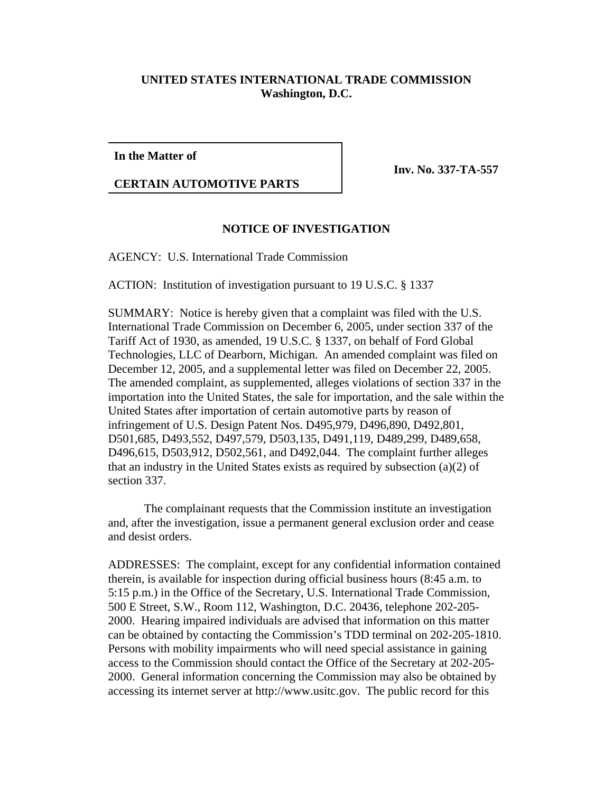## **UNITED STATES INTERNATIONAL TRADE COMMISSION Washington, D.C.**

**In the Matter of**

**CERTAIN AUTOMOTIVE PARTS**

**Inv. No. 337-TA-557**

## **NOTICE OF INVESTIGATION**

AGENCY: U.S. International Trade Commission

ACTION: Institution of investigation pursuant to 19 U.S.C. § 1337

SUMMARY: Notice is hereby given that a complaint was filed with the U.S. International Trade Commission on December 6, 2005, under section 337 of the Tariff Act of 1930, as amended, 19 U.S.C. § 1337, on behalf of Ford Global Technologies, LLC of Dearborn, Michigan. An amended complaint was filed on December 12, 2005, and a supplemental letter was filed on December 22, 2005. The amended complaint, as supplemented, alleges violations of section 337 in the importation into the United States, the sale for importation, and the sale within the United States after importation of certain automotive parts by reason of infringement of U.S. Design Patent Nos. D495,979, D496,890, D492,801, D501,685, D493,552, D497,579, D503,135, D491,119, D489,299, D489,658, D496,615, D503,912, D502,561, and D492,044. The complaint further alleges that an industry in the United States exists as required by subsection (a)(2) of section 337.

The complainant requests that the Commission institute an investigation and, after the investigation, issue a permanent general exclusion order and cease and desist orders.

ADDRESSES: The complaint, except for any confidential information contained therein, is available for inspection during official business hours (8:45 a.m. to 5:15 p.m.) in the Office of the Secretary, U.S. International Trade Commission, 500 E Street, S.W., Room 112, Washington, D.C. 20436, telephone 202-205- 2000. Hearing impaired individuals are advised that information on this matter can be obtained by contacting the Commission's TDD terminal on 202-205-1810. Persons with mobility impairments who will need special assistance in gaining access to the Commission should contact the Office of the Secretary at 202-205- 2000. General information concerning the Commission may also be obtained by accessing its internet server at http://www.usitc.gov. The public record for this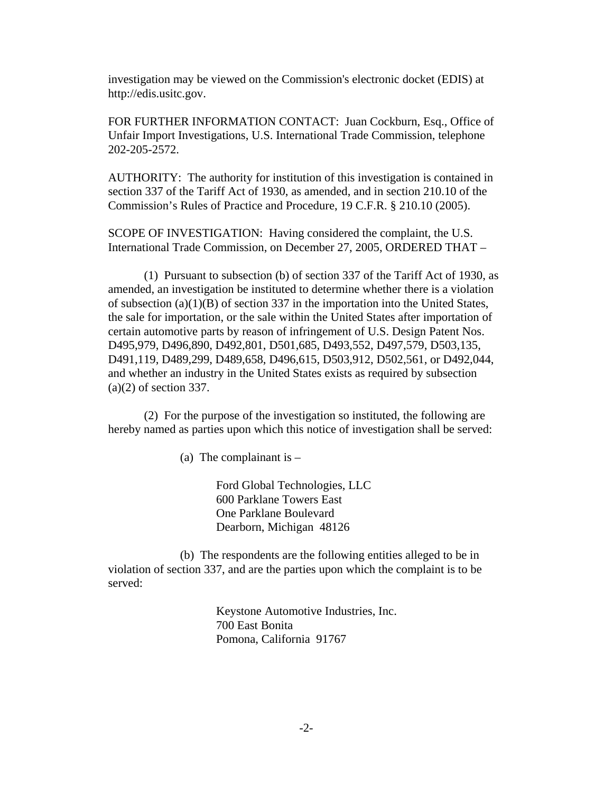investigation may be viewed on the Commission's electronic docket (EDIS) at http://edis.usitc.gov.

FOR FURTHER INFORMATION CONTACT: Juan Cockburn, Esq., Office of Unfair Import Investigations, U.S. International Trade Commission, telephone 202-205-2572.

AUTHORITY: The authority for institution of this investigation is contained in section 337 of the Tariff Act of 1930, as amended, and in section 210.10 of the Commission's Rules of Practice and Procedure, 19 C.F.R. § 210.10 (2005).

SCOPE OF INVESTIGATION: Having considered the complaint, the U.S. International Trade Commission, on December 27, 2005, ORDERED THAT –

(1) Pursuant to subsection (b) of section 337 of the Tariff Act of 1930, as amended, an investigation be instituted to determine whether there is a violation of subsection (a)(1)(B) of section 337 in the importation into the United States, the sale for importation, or the sale within the United States after importation of certain automotive parts by reason of infringement of U.S. Design Patent Nos. D495,979, D496,890, D492,801, D501,685, D493,552, D497,579, D503,135, D491,119, D489,299, D489,658, D496,615, D503,912, D502,561, or D492,044, and whether an industry in the United States exists as required by subsection (a)(2) of section 337.

(2) For the purpose of the investigation so instituted, the following are hereby named as parties upon which this notice of investigation shall be served:

(a) The complainant is  $-$ 

Ford Global Technologies, LLC 600 Parklane Towers East One Parklane Boulevard Dearborn, Michigan 48126

(b) The respondents are the following entities alleged to be in violation of section 337, and are the parties upon which the complaint is to be served:

> Keystone Automotive Industries, Inc. 700 East Bonita Pomona, California 91767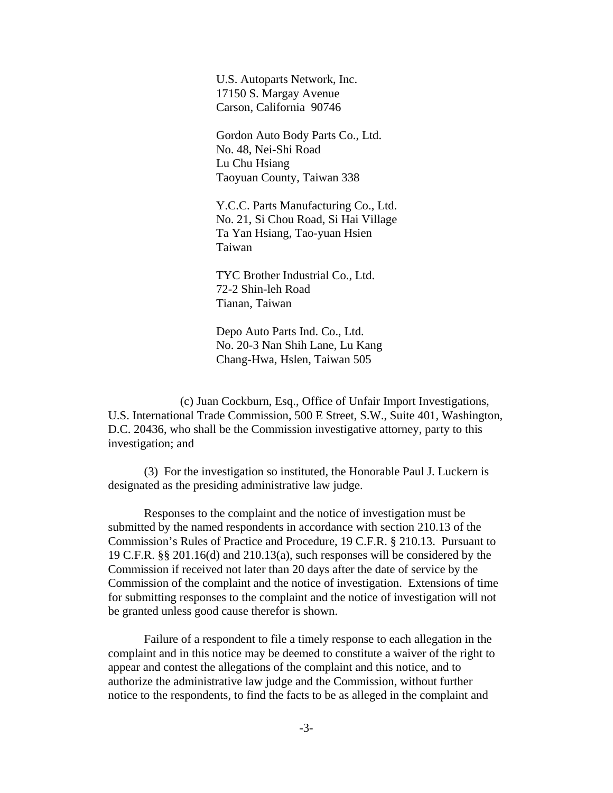U.S. Autoparts Network, Inc. 17150 S. Margay Avenue Carson, California 90746

Gordon Auto Body Parts Co., Ltd. No. 48, Nei-Shi Road Lu Chu Hsiang Taoyuan County, Taiwan 338

Y.C.C. Parts Manufacturing Co., Ltd. No. 21, Si Chou Road, Si Hai Village Ta Yan Hsiang, Tao-yuan Hsien Taiwan

TYC Brother Industrial Co., Ltd. 72-2 Shin-leh Road Tianan, Taiwan

Depo Auto Parts Ind. Co., Ltd. No. 20-3 Nan Shih Lane, Lu Kang Chang-Hwa, Hslen, Taiwan 505

(c) Juan Cockburn, Esq., Office of Unfair Import Investigations, U.S. International Trade Commission, 500 E Street, S.W., Suite 401, Washington, D.C. 20436, who shall be the Commission investigative attorney, party to this investigation; and

(3) For the investigation so instituted, the Honorable Paul J. Luckern is designated as the presiding administrative law judge.

Responses to the complaint and the notice of investigation must be submitted by the named respondents in accordance with section 210.13 of the Commission's Rules of Practice and Procedure, 19 C.F.R. § 210.13. Pursuant to 19 C.F.R. §§ 201.16(d) and 210.13(a), such responses will be considered by the Commission if received not later than 20 days after the date of service by the Commission of the complaint and the notice of investigation. Extensions of time for submitting responses to the complaint and the notice of investigation will not be granted unless good cause therefor is shown.

Failure of a respondent to file a timely response to each allegation in the complaint and in this notice may be deemed to constitute a waiver of the right to appear and contest the allegations of the complaint and this notice, and to authorize the administrative law judge and the Commission, without further notice to the respondents, to find the facts to be as alleged in the complaint and